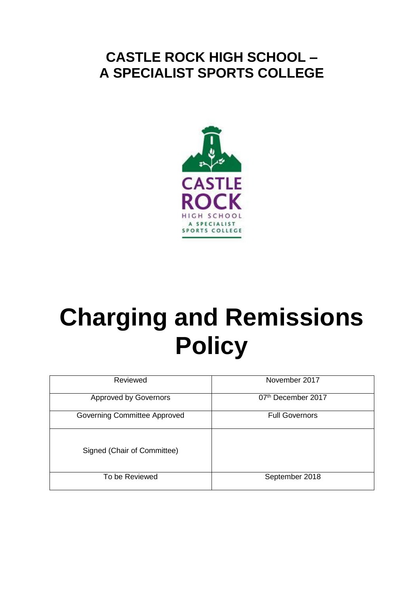# **CASTLE ROCK HIGH SCHOOL – A SPECIALIST SPORTS COLLEGE**



# **Charging and Remissions Policy**

| Reviewed                     | November 2017         |
|------------------------------|-----------------------|
| <b>Approved by Governors</b> | 07th December 2017    |
| Governing Committee Approved | <b>Full Governors</b> |
| Signed (Chair of Committee)  |                       |
| To be Reviewed               | September 2018        |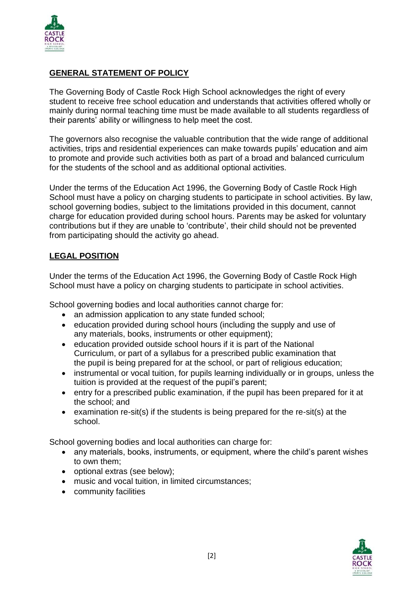

#### **GENERAL STATEMENT OF POLICY**

The Governing Body of Castle Rock High School acknowledges the right of every student to receive free school education and understands that activities offered wholly or mainly during normal teaching time must be made available to all students regardless of their parents' ability or willingness to help meet the cost.

The governors also recognise the valuable contribution that the wide range of additional activities, trips and residential experiences can make towards pupils' education and aim to promote and provide such activities both as part of a broad and balanced curriculum for the students of the school and as additional optional activities.

Under the terms of the Education Act 1996, the Governing Body of Castle Rock High School must have a policy on charging students to participate in school activities. By law, school governing bodies, subject to the limitations provided in this document, cannot charge for education provided during school hours. Parents may be asked for voluntary contributions but if they are unable to 'contribute', their child should not be prevented from participating should the activity go ahead.

### **LEGAL POSITION**

Under the terms of the Education Act 1996, the Governing Body of Castle Rock High School must have a policy on charging students to participate in school activities.

School governing bodies and local authorities cannot charge for:

- an admission application to any state funded school;
- education provided during school hours (including the supply and use of any materials, books, instruments or other equipment);
- education provided outside school hours if it is part of the National Curriculum, or part of a syllabus for a prescribed public examination that the pupil is being prepared for at the school, or part of religious education;
- instrumental or vocal tuition, for pupils learning individually or in groups, unless the tuition is provided at the request of the pupil's parent;
- entry for a prescribed public examination, if the pupil has been prepared for it at the school; and
- examination re-sit(s) if the students is being prepared for the re-sit(s) at the school.

School governing bodies and local authorities can charge for:

- any materials, books, instruments, or equipment, where the child's parent wishes to own them;
- optional extras (see below);
- music and vocal tuition, in limited circumstances;
- community facilities

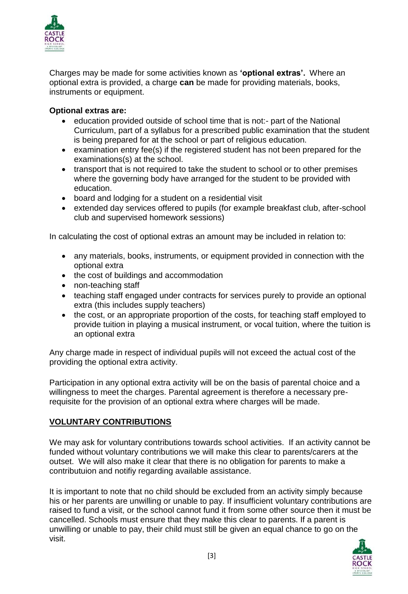

Charges may be made for some activities known as **'optional extras'.** Where an optional extra is provided, a charge **can** be made for providing materials, books, instruments or equipment.

#### **Optional extras are:**

- education provided outside of school time that is not:- part of the National Curriculum, part of a syllabus for a prescribed public examination that the student is being prepared for at the school or part of religious education.
- examination entry fee(s) if the registered student has not been prepared for the examinations(s) at the school.
- transport that is not required to take the student to school or to other premises where the governing body have arranged for the student to be provided with education.
- board and lodging for a student on a residential visit
- extended day services offered to pupils (for example breakfast club, after-school club and supervised homework sessions)

In calculating the cost of optional extras an amount may be included in relation to:

- any materials, books, instruments, or equipment provided in connection with the optional extra
- the cost of buildings and accommodation
- non-teaching staff
- teaching staff engaged under contracts for services purely to provide an optional extra (this includes supply teachers)
- the cost, or an appropriate proportion of the costs, for teaching staff employed to provide tuition in playing a musical instrument, or vocal tuition, where the tuition is an optional extra

Any charge made in respect of individual pupils will not exceed the actual cost of the providing the optional extra activity.

Participation in any optional extra activity will be on the basis of parental choice and a willingness to meet the charges. Parental agreement is therefore a necessary prerequisite for the provision of an optional extra where charges will be made.

### **VOLUNTARY CONTRIBUTIONS**

We may ask for voluntary contributions towards school activities. If an activity cannot be funded without voluntary contributions we will make this clear to parents/carers at the outset. We will also make it clear that there is no obligation for parents to make a contributuion and notifiy regarding available assistance.

It is important to note that no child should be excluded from an activity simply because his or her parents are unwilling or unable to pay. If insufficient voluntary contributions are raised to fund a visit, or the school cannot fund it from some other source then it must be cancelled. Schools must ensure that they make this clear to parents. If a parent is unwilling or unable to pay, their child must still be given an equal chance to go on the visit.

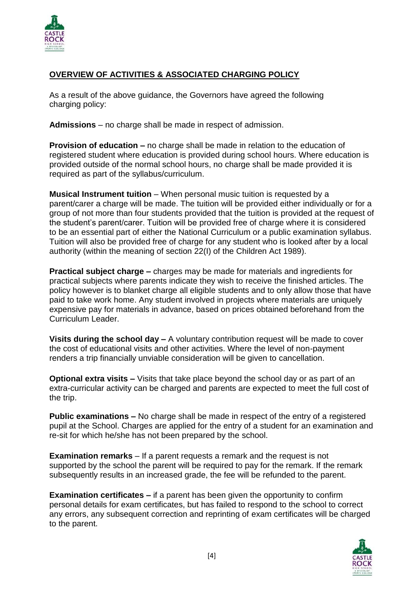

## **OVERVIEW OF ACTIVITIES & ASSOCIATED CHARGING POLICY**

As a result of the above guidance, the Governors have agreed the following charging policy:

**Admissions** – no charge shall be made in respect of admission.

**Provision of education –** no charge shall be made in relation to the education of registered student where education is provided during school hours. Where education is provided outside of the normal school hours, no charge shall be made provided it is required as part of the syllabus/curriculum.

**Musical Instrument tuition** – When personal music tuition is requested by a parent/carer a charge will be made. The tuition will be provided either individually or for a group of not more than four students provided that the tuition is provided at the request of the student's parent/carer. Tuition will be provided free of charge where it is considered to be an essential part of either the National Curriculum or a public examination syllabus. Tuition will also be provided free of charge for any student who is looked after by a local authority (within the meaning of section 22(I) of the Children Act 1989).

**Practical subject charge –** charges may be made for materials and ingredients for practical subjects where parents indicate they wish to receive the finished articles. The policy however is to blanket charge all eligible students and to only allow those that have paid to take work home. Any student involved in projects where materials are uniquely expensive pay for materials in advance, based on prices obtained beforehand from the Curriculum Leader.

**Visits during the school day –** A voluntary contribution request will be made to cover the cost of educational visits and other activities. Where the level of non-payment renders a trip financially unviable consideration will be given to cancellation.

**Optional extra visits –** Visits that take place beyond the school day or as part of an extra-curricular activity can be charged and parents are expected to meet the full cost of the trip.

**Public examinations –** No charge shall be made in respect of the entry of a registered pupil at the School. Charges are applied for the entry of a student for an examination and re-sit for which he/she has not been prepared by the school.

**Examination remarks** – If a parent requests a remark and the request is not supported by the school the parent will be required to pay for the remark. If the remark subsequently results in an increased grade, the fee will be refunded to the parent.

**Examination certificates –** if a parent has been given the opportunity to confirm personal details for exam certificates, but has failed to respond to the school to correct any errors, any subsequent correction and reprinting of exam certificates will be charged to the parent.

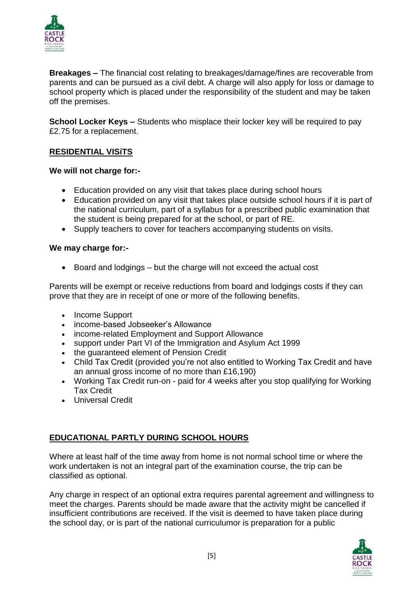

**Breakages –** The financial cost relating to breakages/damage/fines are recoverable from parents and can be pursued as a civil debt. A charge will also apply for loss or damage to school property which is placed under the responsibility of the student and may be taken off the premises.

**School Locker Keys –** Students who misplace their locker key will be required to pay £2.75 for a replacement.

# **RESIDENTIAL VISiTS**

#### **We will not charge for:-**

- Education provided on any visit that takes place during school hours
- Education provided on any visit that takes place outside school hours if it is part of the national curriculum, part of a syllabus for a prescribed public examination that the student is being prepared for at the school, or part of RE.
- Supply teachers to cover for teachers accompanying students on visits.

#### **We may charge for:-**

Board and lodgings – but the charge will not exceed the actual cost

Parents will be exempt or receive reductions from board and lodgings costs if they can prove that they are in receipt of one or more of the following benefits.

- Income Support
- income-based Jobseeker's Allowance
- income-related Employment and Support Allowance
- support under Part VI of the Immigration and Asylum Act 1999
- the guaranteed element of Pension Credit
- Child Tax Credit (provided you're not also entitled to Working Tax Credit and have an annual gross income of no more than £16,190)
- Working Tax Credit run-on paid for 4 weeks after you stop qualifying for Working Tax Credit
- Universal Credit

# **EDUCATIONAL PARTLY DURING SCHOOL HOURS**

Where at least half of the time away from home is not normal school time or where the work undertaken is not an integral part of the examination course, the trip can be classified as optional.

Any charge in respect of an optional extra requires parental agreement and willingness to meet the charges. Parents should be made aware that the activity might be cancelled if insufficient contributions are received. If the visit is deemed to have taken place during the school day, or is part of the national curriculumor is preparation for a public